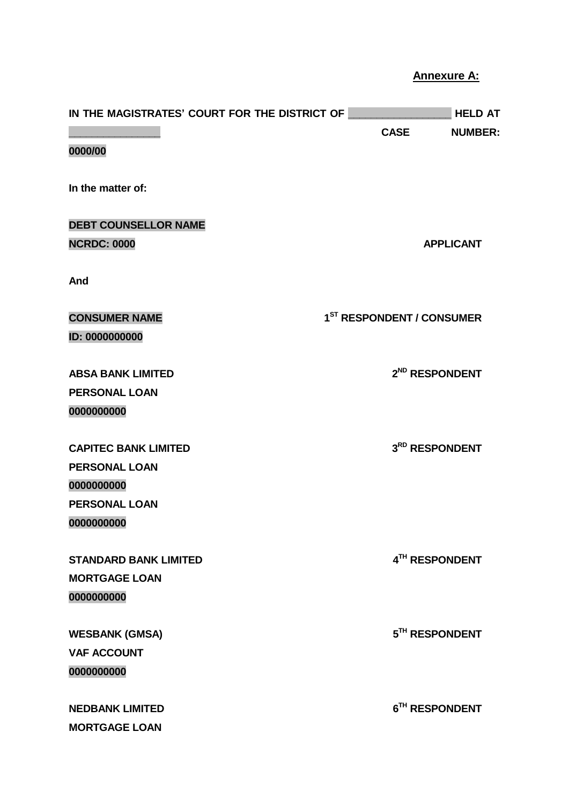## **Annexure A:**

| IN THE MAGISTRATES' COURT FOR THE DISTRICT OF |                                       | <b>HELD AT</b>             |
|-----------------------------------------------|---------------------------------------|----------------------------|
|                                               | <b>CASE</b>                           | <b>NUMBER:</b>             |
| 0000/00                                       |                                       |                            |
| In the matter of:                             |                                       |                            |
| <b>DEBT COUNSELLOR NAME</b>                   |                                       |                            |
| <b>NCRDC: 0000</b>                            |                                       | <b>APPLICANT</b>           |
| And                                           |                                       |                            |
| <b>CONSUMER NAME</b>                          | 1 <sup>ST</sup> RESPONDENT / CONSUMER |                            |
| ID: 0000000000                                |                                       |                            |
| <b>ABSA BANK LIMITED</b>                      |                                       | 2 <sup>ND</sup> RESPONDENT |
| <b>PERSONAL LOAN</b>                          |                                       |                            |
| 0000000000                                    |                                       |                            |
| <b>CAPITEC BANK LIMITED</b>                   |                                       | 3RD RESPONDENT             |
| <b>PERSONAL LOAN</b>                          |                                       |                            |
| 0000000000                                    |                                       |                            |
| <b>PERSONAL LOAN</b>                          |                                       |                            |
| 0000000000                                    |                                       |                            |
| <b>STANDARD BANK LIMITED</b>                  |                                       | 4TH RESPONDENT             |
| <b>MORTGAGE LOAN</b>                          |                                       |                            |
| 0000000000                                    |                                       |                            |
| <b>WESBANK (GMSA)</b>                         |                                       | 5TH RESPONDENT             |
| <b>VAF ACCOUNT</b>                            |                                       |                            |
| 0000000000                                    |                                       |                            |
| <b>NEDBANK LIMITED</b>                        |                                       | 6 <sup>TH</sup> RESPONDENT |
| <b>MORTGAGE LOAN</b>                          |                                       |                            |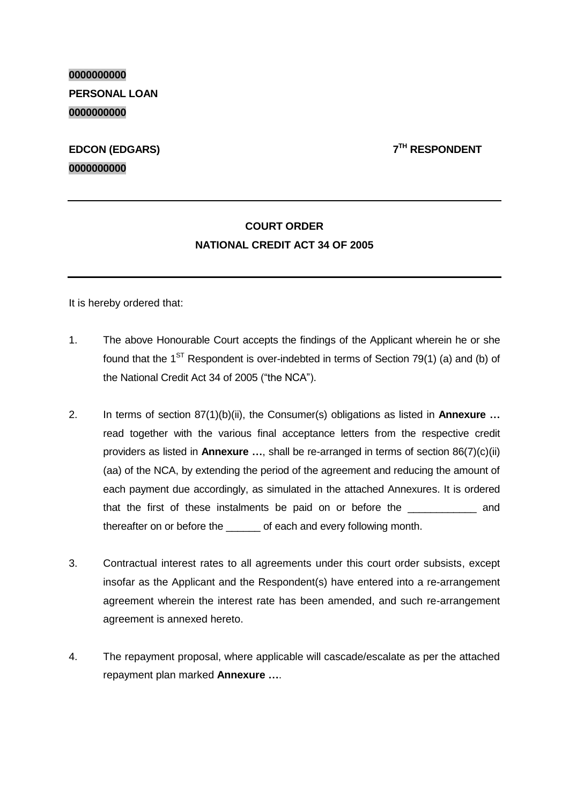**0000000000 PERSONAL LOAN 0000000000**

## **EDCON (EDGARS) 7 0000000000**

**TH RESPONDENT**

## **COURT ORDER NATIONAL CREDIT ACT 34 OF 2005**

It is hereby ordered that:

- 1. The above Honourable Court accepts the findings of the Applicant wherein he or she found that the 1<sup>ST</sup> Respondent is over-indebted in terms of Section 79(1) (a) and (b) of the National Credit Act 34 of 2005 ("the NCA").
- 2. In terms of section 87(1)(b)(ii), the Consumer(s) obligations as listed in **Annexure …** read together with the various final acceptance letters from the respective credit providers as listed in **Annexure …**, shall be re-arranged in terms of section 86(7)(c)(ii) (aa) of the NCA, by extending the period of the agreement and reducing the amount of each payment due accordingly, as simulated in the attached Annexures. It is ordered that the first of these instalments be paid on or before the **EXALC** and thereafter on or before the \_\_\_\_\_\_ of each and every following month.
- 3. Contractual interest rates to all agreements under this court order subsists, except insofar as the Applicant and the Respondent(s) have entered into a re-arrangement agreement wherein the interest rate has been amended, and such re-arrangement agreement is annexed hereto.
- 4. The repayment proposal, where applicable will cascade/escalate as per the attached repayment plan marked **Annexure …**.